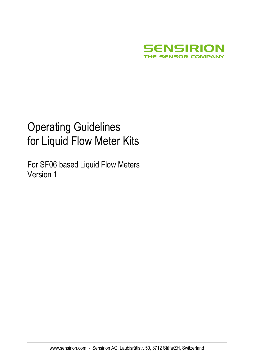

# Operating Guidelines for Liquid Flow Meter Kits

For SF06 based Liquid Flow Meters Version 1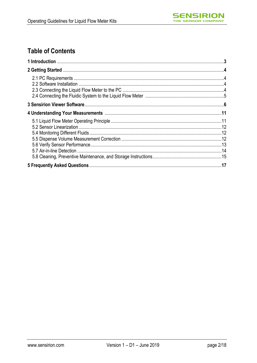

# **Table of Contents**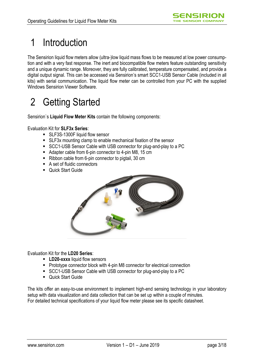# 1 Introduction

The Sensirion liquid flow meters allow (ultra-)low liquid mass flows to be measured at low power consumption and with a very fast response. The inert and biocompatible flow meters feature outstanding sensitivity and a unique dynamic range. Moreover, they are fully calibrated, temperature compensated, and provide a digital output signal. This can be accessed via Sensirion's smart SCC1-USB Sensor Cable (included in all kits) with serial communication. The liquid flow meter can be controlled from your PC with the supplied Windows Sensirion Viewer Software.

# 2 Getting Started

Sensirion`s **Liquid Flow Meter Kits** contain the following components:

Evaluation Kit for **SLF3x Series**:

- SLF3S-1300F liquid flow sensor
- SLF3x mounting clamp to enable mechanical fixation of the sensor
- SCC1-USB Sensor Cable with USB connector for plug-and-play to a PC
- Adapter cable from 6-pin connector to 4-pin M8, 15 cm
- Ribbon cable from 6-pin connector to pigtail, 30 cm
- A set of fluidic connectors
- Quick Start Guide



Evaluation Kit for the **LD20 Series**:

- **LD20-xxxx** liquid flow sensors
- Prototype connector block with 4-pin M8 connector for electrical connection
- SCC1-USB Sensor Cable with USB connector for plug-and-play to a PC
- **Cuick Start Guide**

The kits offer an easy-to-use environment to implement high-end sensing technology in your laboratory setup with data visualization and data collection that can be set up within a couple of minutes. For detailed technical specifications of your liquid flow meter please see its specific datasheet.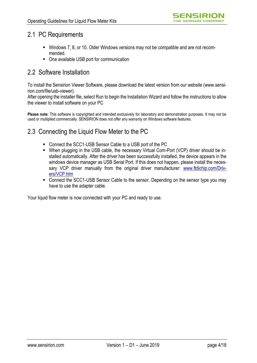### 2.1 PC Requirements

- Windows 7, 8, or 10. Older Windows versions may not be compatible and are not recommended.
- One available USB port for communication

### 2.2 Software Installation

To install the Sensirion Viewer Software, please download the latest version from our website (www.sensirion.com/file/usb-viewer).

After opening the installer file, select Run to begin the Installation Wizard and follow the instructions to allow the viewer to install software on your PC

**Please note:** This software is copyrighted and intended exclusively for laboratory and demonstration purposes. It may not be used or multiplied commercially. SENSIRION does not offer any warranty on Windows software features.

## 2.3 Connecting the Liquid Flow Meter to the PC

- Connect the SCC1-USB Sensor Cable to a USB port of the PC
- When plugging in the USB cable, the necessary Virtual Com-Port (VCP) driver should be installed automatically. After the driver has been successfully installed, the device appears in the windows device manager as USB Serial Port. If this does not happen, please install the necessary VCP driver manually from the original driver manufacturer: [www.ftdichip.com/Driv](http://www.ftdichip.com/Drivers/VCP.htm)[ers/VCP.htm](http://www.ftdichip.com/Drivers/VCP.htm)
- Connect the SCC1-USB Sensor Cable to the sensor. Depending on the sensor type you may have to use the adapter cable.

Your liquid flow meter is now connected with your PC and ready to use.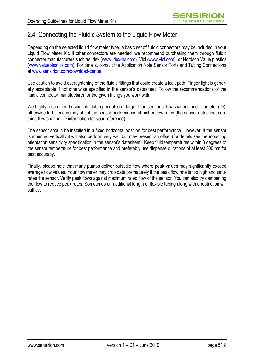## 2.4 Connecting the Fluidic System to the Liquid Flow Meter

Depending on the selected liquid flow meter type, a basic set of fluidic connectors may be included in your Liquid Flow Meter Kit. If other connectors are needed, we recommend purchasing them through fluidic connector manufacturers such as Idex [\(www.idex-hs.com\)](http://www.idex-hs.com/), Vici [\(www.vici.com\)](http://www.vici.com/), or Nordson Value plastics [\(www.valueplastics.com\)](http://www.valueplastics.com/). For details, consult the Application Note Sensor Ports and Tubing Connections at [www.sensirion.com/download-center.](www.sensirion.com/download-center)

Use caution to avoid overtightening of the fluidic fittings that could create a leak path. Finger tight is generally acceptable if not otherwise specified in the sensor's datasheet. Follow the recommendations of the fluidic connector manufacturer for the given fittings you work with.

We highly recommend using inlet tubing equal to or larger than sensor's flow channel inner diameter (ID), otherwise turbulences may affect the sensor performance at higher flow rates (the sensor datasheet contains flow channel ID information for your reference).

The sensor should be installed in a fixed horizontal position for best performance. However, if the sensor is mounted vertically it will also perform very well but may present an offset (for details see the mounting orientation sensitivity specification in the sensor's datasheet). Keep fluid temperatures within 3 degrees of the sensor temperature for best performance and preferably use dispense durations of at least 500 ms for best accuracy.

Finally, please note that many pumps deliver pulsatile flow where peak values may significantly exceed average flow values. Your flow meter may crop data prematurely if the peak flow rate is too high and saturates the sensor. Verify peak flows against maximum rated flow of the sensor. You can also try dampening the flow to reduce peak rates. Sometimes an additional length of flexible tubing along with a restriction will suffice.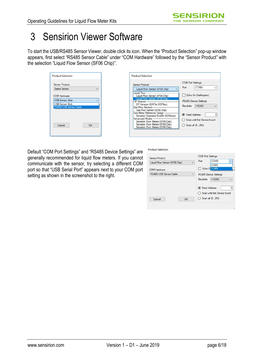# 3 Sensirion Viewer Software

To start the USB/RS485 Sensor Viewer, double click its icon. When the "Product Selection" pop-up window appears, first select "RS485 Sensor Cable" under "COM Hardware" followed by the "Sensor Product" with the selection "Liquid Flow Sensor (SF06 Chip)".

| <b>Product Selection</b>                          |    |  |
|---------------------------------------------------|----|--|
| Sensor Product:                                   |    |  |
| Select Sensor                                     |    |  |
| COM Hardware:                                     |    |  |
| <b>USB Sensor Stick</b>                           |    |  |
| <b>USB Sensor Stick</b><br>RS485/USB Sensor Cable |    |  |
|                                                   |    |  |
|                                                   |    |  |
| Cancel                                            | OK |  |
|                                                   |    |  |
|                                                   |    |  |

| Sensor Product:                                                                                                                                                    | <b>COM Port Settings</b>                             |                                                 |  |
|--------------------------------------------------------------------------------------------------------------------------------------------------------------------|------------------------------------------------------|-------------------------------------------------|--|
| Liquid Flow Sensor (SF04 Chip)                                                                                                                                     | Port                                                 | COM4                                            |  |
| Liquid Flow -<br>Liquid Flow Sensor (SF04 Chip)                                                                                                                    |                                                      | Echo On (Halfduplex)                            |  |
| Liquid Flow Sensor (SF06 Chip)<br>DP Sensors ---------------------<br>DP Sensors (SDP3x/SDP8xx)<br>Gas Flow Sensors ---------------<br>Gas Flow Sensor (SF06 Chip) | Baudrate                                             | RS485 Device Settings<br>115200<br>$\checkmark$ |  |
| Gas Meter Reference Design<br>Sensirion Gasmeter EvalKit (SGMxxxx)<br>Advanced Modes --                                                                            | (a) Fixed Address:                                   |                                                 |  |
| Sensirion Flow Meters (SF05 Chip)<br>Sensirion Flow Meters (SF04 Chip)<br>Sensirion Flow Meters (SF06 Chip)                                                        | ◯ Scan until first Device found<br>◯ Scan all (0254) |                                                 |  |

Default "COM Port Settings" and "RS485 Device Settings" are generally recommended for liquid flow meters. If you cannot communicate with the sensor, try selecting a different COM port so that "USB Serial Port" appears next to your COM port setting as shown in the screenshot to the right.

| Sensor Product:                |    | <b>COM Port Settings</b>        |                                 |              |
|--------------------------------|----|---------------------------------|---------------------------------|--------------|
| Liquid Flow Sensor (SF06 Chip) |    | Port                            | COM <sub>3</sub>                | $\checkmark$ |
| COM Hardware:                  |    | COM <sub>3</sub><br>Echo O COM5 |                                 |              |
| RS485/USB Sensor Cable         |    |                                 | RS485 Device Settings           |              |
|                                |    | Baudrate                        | 115200                          | Ü            |
|                                |    | C Fixed Address:                |                                 | 0            |
|                                |    |                                 | ◯ Scan until first Device found |              |
| Cancel                         | OK | ◯ Scan all (0254)               |                                 |              |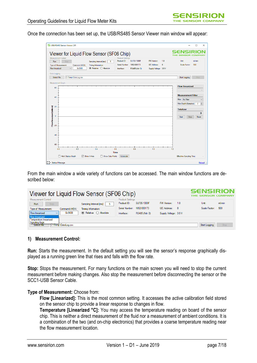Once the connection has been set up, the USB/RS485 Sensor Viewer main window will appear:

|                                   | Measurement Control                          | Viewer for Liquid Flow Sensor (SF06 Chip) |                                                                         |   | <b>Product Settings</b>                     |                                                     |                                                             |          |                                              |                |                      |
|-----------------------------------|----------------------------------------------|-------------------------------------------|-------------------------------------------------------------------------|---|---------------------------------------------|-----------------------------------------------------|-------------------------------------------------------------|----------|----------------------------------------------|----------------|----------------------|
| Run<br><b>Flow linearized</b>     | Stop<br>Type of Measurement:<br>$\checkmark$ | Command (HEX):<br>0x3608                  | Sampling Interval [ms]:<br>Timing Information:<br>◉ Relative ◯ Absolute | 5 | Product ID:<br>Serial Number:<br>Interface: | <b>SLF3S-1300F</b><br>1852-000173<br>RS485 (Adr: 0) | <b>FW Version:</b><br>I2C Address:<br>Supply Voltage: 3.5 V | 1.8<br>8 | Unit:<br>Scale Factor:                       | ml/min<br>500  |                      |
| Data Logging<br>Select File       |                                              | C:\Temp\DataLog.csv                       |                                                                         |   |                                             |                                                     |                                                             |          | <b>Start Logging</b>                         | Stop           |                      |
| Measurement Graph<br>60           |                                              |                                           |                                                                         |   |                                             |                                                     |                                                             |          | <b>Flow linearized:</b>                      |                |                      |
| 40                                |                                              |                                           |                                                                         |   |                                             |                                                     |                                                             |          | <b>Measurement Filter</b>                    |                |                      |
|                                   |                                              |                                           |                                                                         |   |                                             |                                                     |                                                             |          | Filter: No Filter<br>Filter Depth (Samples): | $\overline{2}$ | $\ddot{\phantom{1}}$ |
| 20                                |                                              |                                           |                                                                         |   |                                             |                                                     |                                                             |          | <b>Totalizer</b>                             |                | ÷                    |
|                                   |                                              |                                           |                                                                         |   |                                             |                                                     |                                                             |          |                                              |                | $\bf{0}$             |
| $\mathbf 0$                       |                                              |                                           |                                                                         |   |                                             |                                                     |                                                             |          | Start                                        | Stop           | Reset                |
| Flow linearized [ml/min]<br>$-20$ |                                              |                                           |                                                                         |   |                                             |                                                     |                                                             |          |                                              |                |                      |
|                                   |                                              |                                           |                                                                         |   |                                             |                                                     |                                                             |          |                                              |                |                      |
| $-40$                             |                                              |                                           |                                                                         |   |                                             |                                                     |                                                             |          |                                              |                |                      |
| $-60$                             |                                              |                                           |                                                                         |   |                                             |                                                     |                                                             |          |                                              |                |                      |
|                                   | 0.0                                          | 0.2                                       | 0.4                                                                     |   | 06                                          | 0.8                                                 | 1.0                                                         |          | 1.2                                          |                |                      |

From the main window a wide variety of functions can be accessed. The main window functions are described below:

| Viewer for Liquid Flow Sensor (SF06 Chip)                                                                                                                                                                                                     | <b>SENSIRION</b><br>THE SENSOR COMPANY                                                                          |                                                                          |                                         |  |
|-----------------------------------------------------------------------------------------------------------------------------------------------------------------------------------------------------------------------------------------------|-----------------------------------------------------------------------------------------------------------------|--------------------------------------------------------------------------|-----------------------------------------|--|
| Measurement Control<br>Sampling Interval [ms]:<br>Run<br>Stop<br>Timing Information:<br>Type of Measurement:<br>Command (HEX):<br>$\odot$ Relative $\bigcirc$ Absolute<br>0x3608<br>Flow linearized<br>$\checkmark$<br><b>Flow linearized</b> | Product Settings<br>SLF3S-1300F<br>Product ID:<br>1852-000173<br>Serial Number:<br>RS485 (Adr: 0)<br>Interface: | FW Version:<br>1.8<br><b>I2C. Address:</b><br>8<br>Supply Voltage: 3.5 V | Unit:<br>ml/min<br>500<br>Scale Factor: |  |
| Temperature linearized<br>Signaling flags<br>Select File<br>C:\Temp\DataLog.csv                                                                                                                                                               |                                                                                                                 |                                                                          | Start Logging<br>Stop                   |  |

#### **1) Measurement Control:**

**Run:** Starts the measurement. In the default setting you will see the sensor's response graphically displayed as a running green line that rises and falls with the flow rate.

**Stop:** Stops the measurement. For many functions on the main screen you will need to stop the current measurement before making changes. Also stop the measurement before disconnecting the sensor or the SCC1-USB Sensor Cable.

#### **Type of Measurement:** Choose from:

**Flow [Linearized]:** This is the most common setting. It accesses the active calibration field stored on the sensor chip to provide a linear response to changes in flow.

**Temperature [Linearized °C]:** You may access the temperature reading on board of the sensor chip. This is neither a direct measurement of the fluid nor a measurement of ambient conditions. It is a combination of the two (and on-chip electronics) that provides a coarse temperature reading near the flow measurement location.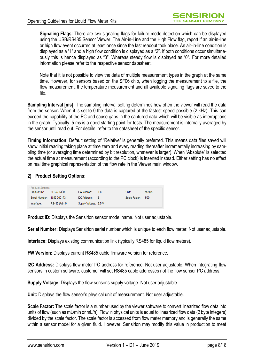**Signaling Flags:** There are two signaling flags for failure mode detection which can be displayed using the USB/RS485 Sensor Viewer. The Air-in-Line and the High Flow flag, report if an air-in-line or high flow event occurred at least once since the last readout took place. An air-in-line condition is displayed as a "1" and a high flow condition is displayed as a "2". If both conditions occur simultaneously this is hence displayed as "3". Whereas steady flow is displayed as "0". For more detailed information please refer to the respective sensor datasheet.

Note that it is not possible to view the data of multiple measurement types in the graph at the same time. However, for sensors based on the SF06 chip, when logging the measurement to a file, the flow measurement, the temperature measurement and all available signaling flags are saved to the file.

**Sampling Interval [ms]:** The sampling interval setting determines how often the viewer will read the data from the sensor**.** When it is set to 0 the data is captured at the fastest speed possible (2 kHz). This can exceed the capability of the PC and cause gaps in the captured data which will be visible as interruptions in the graph. Typically, 5 ms is a good starting point for tests. The measurement is internally averaged by the sensor until read out. For details, refer to the datasheet of the specific sensor.

**Timing Information:** Default setting of "Relative" is generally preferred. This means data files saved will show initial reading taking place at time zero and every reading thereafter incrementally increasing by sampling time (or averaging time determined by bit resolution, whatever is larger). When "Absolute" is selected the actual time at measurement (according to the PC clock) is inserted instead. Either setting has no effect on real time graphical representation of the flow rate in the Viewer main window.

#### **2) Product Setting Options:**

| $\Box$ Product Settings<br>Product ID: | SLF3S-1300F    | FW Version:           | -18 | Unit:             | ml/min |
|----------------------------------------|----------------|-----------------------|-----|-------------------|--------|
| Serial Number: 1852-000173             |                | I2C Address: 8        |     | Scale Factor: 500 |        |
| Interface:                             | RS485 (Adr: 0) | Supply Voltage: 3.5 V |     |                   |        |

**Product ID:** Displays the Sensirion sensor model name. Not user adjustable.

**Serial Number:** Displays Sensirion serial number which is unique to each flow meter. Not user adjustable.

**Interface:** Displays existing communication link (typically RS485 for liquid flow meters).

**FW Version:** Displays current RS485 cable firmware version for reference.

**I2C Address:** Displays flow meter I<sup>2</sup>C address for reference. Not user adjustable. When integrating flow sensors in custom software, customer will set RS485 cable addresses not the flow sensor I<sup>2</sup>C address.

**Supply Voltage:** Displays the flow sensor's supply voltage. Not user adjustable.

**Unit:** Displays the flow sensor's physical unit of measurement. Not user adjustable.

**Scale Factor:** The scale factor is a number used by the viewer software to convert linearized flow data into units of flow (such as mL/min or mL/h). Flow in physical units is equal to linearized flow data (2 byte integers) divided by the scale factor. The scale factor is accessed from flow meter memory and is generally the same within a sensor model for a given fluid. However, Sensirion may modify this value in production to meet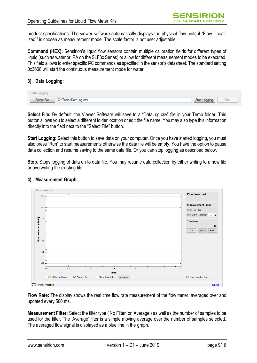product specifications. The viewer software automatically displays the physical flow units if "Flow [linearized]" is chosen as measurement mode. The scale factor is not user adjustable.

**Command (HEX):** Sensirion's liquid flow sensors contain multiple calibration fields for different types of liquid (such as water or IPA on the SLF3x Series) or allow for different measurement modes to be executed. This field allows to enter specific I2C commands as specified in the sensor's datasheet. The standard setting 0x3608 will start the continuous measurement mode for water.

#### **3) Data Logging:**

| Data 1      |                     |               |    |       |
|-------------|---------------------|---------------|----|-------|
| Select File | C:\Temp\DataLog.csv | Start Logging | -- | مالات |

**Select File:** By default, the Viewer Software will save to a "DataLog.csv" file in your Temp folder. This button allows you to select a different folder location or edit the file name. You may also type this information directly into the field next to the "Select File" button.

**Start Logging:** Select this button to save data on your computer. Once you have started logging, you must also press "Run" to start measurements otherwise the data file will be empty. You have the option to pause data collection and resume saving to the same data file. Or you can stop logging as described below.

**Stop**: Stops logging of data on to data file. You may resume data collection by either writing to a new file or overwriting the existing file.



#### **4) Measurement Graph:**

**Flow Rate:** The display shows the real time flow rate measurement of the flow meter, averaged over and updated every 500 ms.

**Measurement Filter:** Select the filter type ('No Filter' or 'Average') as well as the number of samples to be used for the filter. The 'Average' filter is a simple moving average over the number of samples selected. The averaged flow signal is displayed as a blue line in the graph.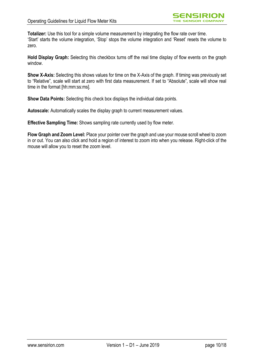**Totalizer:** Use this tool for a simple volume measurement by integrating the flow rate over time. 'Start' starts the volume integration, 'Stop' stops the volume integration and 'Reset' resets the volume to zero.

**Hold Display Graph:** Selecting this checkbox turns off the real time display of flow events on the graph window.

**Show X-Axis:** Selecting this shows values for time on the X-Axis of the graph. If timing was previously set to "Relative", scale will start at zero with first data measurement. If set to "Absolute", scale will show real time in the format [hh:mm:ss:ms].

**Show Data Points:** Selecting this check box displays the individual data points.

**Autoscale:** Automatically scales the display graph to current measurement values.

**Effective Sampling Time:** Shows sampling rate currently used by flow meter.

**Flow Graph and Zoom Level:** Place your pointer over the graph and use your mouse scroll wheel to zoom in or out. You can also click and hold a region of interest to zoom into when you release. Right-click of the mouse will allow you to reset the zoom level.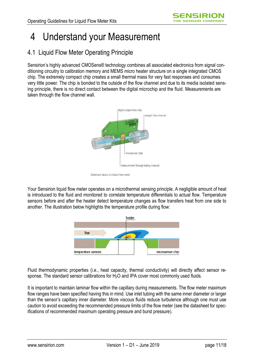# 4 Understand your Measurement

## 4.1 Liquid Flow Meter Operating Principle

Sensirion's highly advanced CMOSens® technology combines all associated electronics from signal conditioning circuitry to calibration memory and MEMS micro heater structure on a single integrated CMOS chip. The extremely compact chip creates a small thermal mass for very fast responses and consumes very little power. The chip is bonded to the outside of the flow channel and due to its media isolated sensing principle, there is no direct contact between the digital microchip and the fluid. Measurements are taken through the flow channel wall.



Schematic layout of a liquid flow meter

Your Sensirion liquid flow meter operates on a microthermal sensing principle. A negligible amount of heat is introduced to the fluid and monitored to correlate temperature differentials to actual flow. Temperature sensors before and after the heater detect temperature changes as flow transfers heat from one side to another. The illustration below highlights the temperature profile during flow:



Fluid thermodynamic properties (i.e., heat capacity, thermal conductivity) will directly affect sensor response. The standard sensor calibrations for H<sub>2</sub>O and IPA cover most commonly used fluids.

It is important to maintain laminar flow within the capillary during measurements. The flow meter maximum flow ranges have been specified having this in mind. Use inlet tubing with the same inner diameter or larger than the sensor's capillary inner diameter. More viscous fluids reduce turbulence although one must use caution to avoid exceeding the recommended pressure limits of the flow meter (see the datasheet for specifications of recommended maximum operating pressure and burst pressure).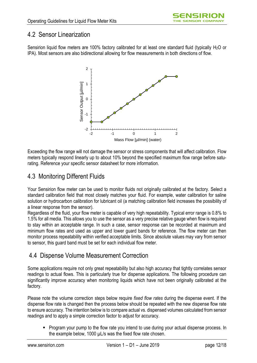### 4.2 Sensor Linearization

Sensirion liquid flow meters are 100% factory calibrated for at least one standard fluid (typically H<sub>2</sub>O or IPA). Most sensors are also bidirectional allowing for flow measurements in both directions of flow.



Exceeding the flow range will not damage the sensor or stress components that will affect calibration. Flow meters typically respond linearly up to about 10% beyond the specified maximum flow range before saturating. Reference your specific sensor datasheet for more information.

## 4.3 Monitoring Different Fluids

Your Sensirion flow meter can be used to monitor fluids not originally calibrated at the factory. Select a standard calibration field that most closely matches your fluid. For example, water calibration for saline solution or hydrocarbon calibration for lubricant oil (a matching calibration field increases the possibility of a linear response from the sensor).

Regardless of the fluid, your flow meter is capable of very high repeatability. Typical error range is 0.8% to 1.5% for all media. This allows you to use the sensor as a very precise relative gauge when flow is required to stay within an acceptable range. In such a case, sensor response can be recorded at maximum and minimum flow rates and used as upper and lower guard bands for reference. The flow meter can then monitor process repeatability within verified acceptable limits. Since absolute values may vary from sensor to sensor, this guard band must be set for each individual flow meter.

## 4.4 Dispense Volume Measurement Correction

Some applications require not only great repeatability but also high accuracy that tightly correlates sensor readings to actual flows. This is particularly true for dispense applications. The following procedure can significantly improve accuracy when monitoring liquids which have not been originally calibrated at the factory.

Please note the volume correction steps below require *fixed flow rates* during the dispense event. If the dispense flow rate is changed then the process below should be repeated with the new dispense flow rate to ensure accuracy. The intention below is to compare actual vs. dispensed volumes calculated from sensor readings and to apply a simple correction factor to adjust for accuracy.

 Program your pump to the flow rate you intend to use during your actual dispense process. In the example below, 1000 µL/s was the fixed flow rate chosen.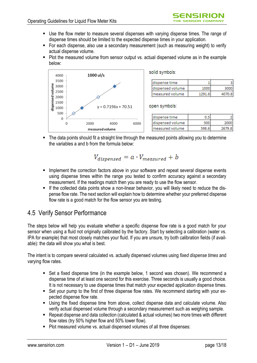- Use the flow meter to measure several dispenses with varying dispense times. The range of dispense times should be limited to the expected dispense times in your application.
- For each dispense, also use a secondary measurement (such as measuring weight) to verify actual dispense volume.
- Plot the measured volume from sensor output vs. actual dispensed volume as in the example below:



• The data points should fit a straight line through the measured points allowing you to determine the variables a and b from the formula below:

$$
V_{dispensed} = a \cdot V_{measured} + b
$$

- **Implement the correction factors above in your software and repeat several dispense events** using dispense times within the range you tested to confirm accuracy against a secondary measurement. If the readings match then you are ready to use the flow sensor.
- If the collected data points show a non-linear behavior, you will likely need to reduce the dispense flow rate. The next section will explain how to determine whether your preferred dispense flow rate is a good match for the flow sensor you are testing.

### 4.5 Verify Sensor Performance

The steps below will help you evaluate whether a specific dispense flow rate is a good match for your sensor when using a fluid not originally calibrated by the factory. Start by selecting a calibration (water vs. IPA for example) that most closely matches your fluid. If you are unsure, try both calibration fields (if available): the data will show you what is best.

The intent is to compare several calculated vs. actually dispensed volumes using *fixed dispense times* and varying flow rates.

- Set a fixed dispense time (in the example below, 1 second was chosen). We recommend a dispense time of at least one second for this exercise. Three seconds is usually a good choice. It is not necessary to use dispense times that match your expected application dispense times.
- Set your pump to the first of three dispense flow rates. We recommend starting with your expected dispense flow rate.
- Using the fixed dispense time from above, collect dispense data and calculate volume. Also verify actual dispensed volume through a secondary measurement such as weighing sample.
- Repeat dispense and data collection (calculated & actual volumes) two more times with different flow rates (try 50% higher flow and 50% lower flow).
- Plot measured volume vs. actual dispensed volumes of all three dispenses: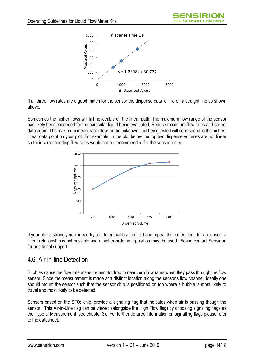

If all three flow rates are a good match for the sensor the dispense data will lie on a straight line as shown above.

Sometimes the higher flows will fall noticeably off the linear path. The maximum flow range of the sensor has likely been exceeded for the particular liquid being evaluated. Reduce maximum flow rates and collect data again. The maximum measurable flow for the unknown fluid being tested will correspond to the highest linear data point on your plot. For example, in the plot below the top two dispense volumes are not linear so their corresponding flow rates would not be recommended for the sensor tested.



If your plot is strongly non-linear, try a different calibration field and repeat the experiment. In rare cases, a linear relationship is not possible and a higher-order interpolation must be used. Please contact Sensirion for additional support.

### 4.6 Air-in-line Detection

Bubbles cause the flow rate measurement to drop to near zero flow rates when they pass through the flow sensor. Since the measurement is made at a distinct location along the sensor's flow channel, ideally one should mount the sensor such that the sensor chip is positioned on top where a bubble is most likely to travel and most likely to be detected.

Sensors based on the SF06 chip, provide a signaling flag that indicates when air is passing though the sensor. This Air-in-Line flag can be viewed (alongside the High Flow flag) by choosing signaling flags as the Type of Measurement (see chapter 3). For further detailed information on signalling flags please refer to the datasheet.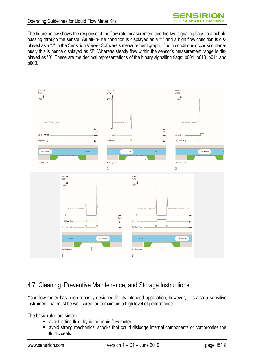The figure below shows the response of the flow rate measurement and the two signaling flags to a bubble passing through the sensor. An air-in-line condition is displayed as a "1" and a high flow condition is displayed as a "2" in the Sensirion Viewer Software's measurement graph. If both conditions occur simultaneously this is hence displayed as "3". Whereas steady flow within the sensor's measurement range is displayed as "0". These are the decimal representations of the binary signalling flags: b001, b010, b011 and b000.



## 4.7 Cleaning, Preventive Maintenance, and Storage Instructions

Your flow meter has been robustly designed for its intended application, however, it is also a sensitive instrument that must be well cared for to maintain a high level of performance.

The basic rules are simple:

- avoid letting fluid dry in the liquid flow meter
- avoid strong mechanical shocks that could dislodge internal components or compromise the fluidic seals.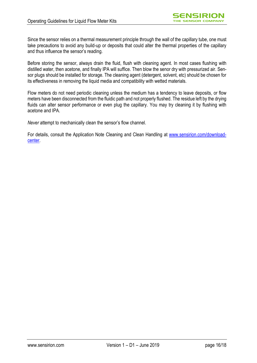Since the sensor relies on a thermal measurement principle through the wall of the capillary tube, one must take precautions to avoid any build-up or deposits that could alter the thermal properties of the capillary and thus influence the sensor's reading.

Before storing the sensor, always drain the fluid, flush with cleaning agent. In most cases flushing with distilled water, then acetone, and finally IPA will suffice. Then blow the senor dry with pressurized air. Sensor plugs should be installed for storage. The cleaning agent (detergent, solvent, etc) should be chosen for its effectiveness in removing the liquid media and compatibility with wetted materials.

Flow meters do not need periodic cleaning unless the medium has a tendency to leave deposits, or flow meters have been disconnected from the fluidic path and not properly flushed. The residue left by the drying fluids can alter sensor performance or even plug the capillary. You may try cleaning it by flushing with acetone and IPA.

*Never* attempt to mechanically clean the sensor's flow channel.

For details, consult the Application Note Cleaning and Clean Handling at [www.sensirion.com/download](www.sensirion.com/download-center)[center.](www.sensirion.com/download-center)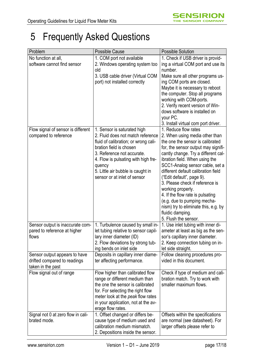# 5 Frequently Asked Questions

| Problem                            | Possible Cause                       | <b>Possible Solution</b>             |
|------------------------------------|--------------------------------------|--------------------------------------|
| No function at all,                | 1. COM port not available            | 1. Check if USB driver is provid-    |
| software cannot find sensor        | 2. Windows operating system too      | ing a virtual COM port and use its   |
|                                    | old                                  | number.                              |
|                                    | 3. USB cable driver (Virtual COM     | Make sure all other programs us-     |
|                                    | port) not installed correctly        | ing COM ports are closed.            |
|                                    |                                      | Maybe it is necessary to reboot      |
|                                    |                                      | the computer. Stop all programs      |
|                                    |                                      | working with COM-ports.              |
|                                    |                                      | 2. Verify recent version of Win-     |
|                                    |                                      | dows software is installed on        |
|                                    |                                      | your PC.                             |
|                                    |                                      | 3. Install virtual com port driver.  |
| Flow signal of sensor is different | 1. Sensor is saturated high          | 1. Reduce flow rates                 |
| compared to reference              | 2. Fluid does not match reference    | 2. When using media other than       |
|                                    | fluid of calibration; or wrong cali- | the one the sensor is calibrated     |
|                                    | bration field is chosen              | for, the sensor output may signifi-  |
|                                    | 3. Reference not accurate.           | cantly change. Try a different cal-  |
|                                    | 4. Flow is pulsating with high fre-  | ibration field. When using the       |
|                                    | quency                               | SCC1-Analog sensor cable, set a      |
|                                    | 5. Little air bubble is caught in    | different default calibration field  |
|                                    | sensor or at inlet of sensor         | ("Edit default", page 9).            |
|                                    |                                      | 3. Please check if reference is      |
|                                    |                                      | working properly.                    |
|                                    |                                      | 4. If the flow rate is pulsating     |
|                                    |                                      | (e.g. due to pumping mecha-          |
|                                    |                                      | nism) try to eliminate this, e.g. by |
|                                    |                                      | fluidic damping.                     |
|                                    |                                      | 5. Flush the sensor.                 |
| Sensor output is inaccurate com-   | 1. Turbulence caused by small in-    | 1. Use inlet tubing with inner di-   |
| pared to reference at higher       | let tubing relative to sensor capil- | ameter at least as big as the sen-   |
| flows                              | lary inner diameter (ID)             | sor's capillary inner diameter.      |
|                                    | 2. Flow deviations by strong tub-    | 2. Keep connection tubing on in-     |
|                                    | ing bends on inlet side              | let side straight.                   |
| Sensor output appears to have      | Deposits in capillary inner diame-   | Follow cleaning procedures pro-      |
| drifted compared to readings       | ter affecting performance.           | vided in this document.              |
| taken in the past                  |                                      |                                      |
| Flow signal out of range           | Flow higher than calibrated flow     | Check if type of medium and cali-    |
|                                    | range or different medium than       | bration match. Try to work with      |
|                                    | the one the sensor is calibrated     | smaller maximum flows.               |
|                                    | for. For selecting the right flow    |                                      |
|                                    | meter look at the peak flow rates    |                                      |
|                                    | in your application, not at the av-  |                                      |
|                                    | erage flow rates.                    |                                      |
| Signal not 0 at zero flow in cali- | 1. Offset changed or differs be-     | Offsets within the specifications    |
| brated mode.                       | cause type of medium used and        | are normal (see datasheet). For      |
|                                    | calibration medium mismatch.         | larger offsets please refer to       |
|                                    | 2. Depositions inside the sensor.    |                                      |